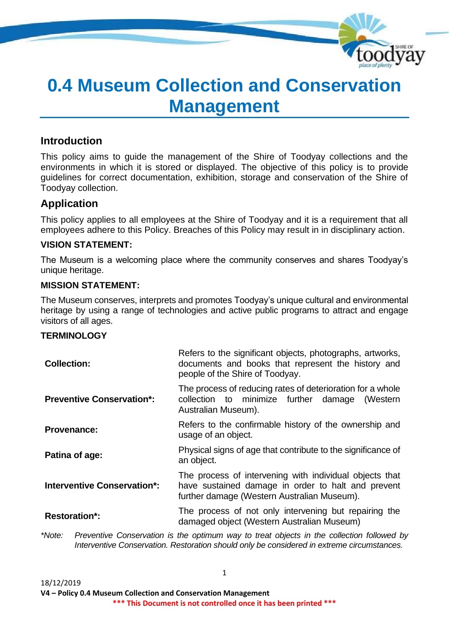

# **0.4 Museum Collection and Conservation Management**

# **Introduction**

This policy aims to guide the management of the Shire of Toodyay collections and the environments in which it is stored or displayed. The objective of this policy is to provide guidelines for correct documentation, exhibition, storage and conservation of the Shire of Toodyay collection.

# **Application**

This policy applies to all employees at the Shire of Toodyay and it is a requirement that all employees adhere to this Policy. Breaches of this Policy may result in in disciplinary action.

# **VISION STATEMENT:**

The Museum is a welcoming place where the community conserves and shares Toodyay's unique heritage.

# **MISSION STATEMENT:**

The Museum conserves, interprets and promotes Toodyay's unique cultural and environmental heritage by using a range of technologies and active public programs to attract and engage visitors of all ages.

Refers to the significant objects, photographs, artworks,

## **TERMINOLOGY**

| Refers to the significant objects, priotographs, artworks,<br>documents and books that represent the history and<br>people of the Shire of Toodyay.          |  |  |
|--------------------------------------------------------------------------------------------------------------------------------------------------------------|--|--|
| The process of reducing rates of deterioration for a whole<br>collection to minimize further<br>damage<br>(Western<br>Australian Museum).                    |  |  |
| Refers to the confirmable history of the ownership and<br>usage of an object.                                                                                |  |  |
| Physical signs of age that contribute to the significance of<br>an object.                                                                                   |  |  |
| The process of intervening with individual objects that<br>have sustained damage in order to halt and prevent<br>further damage (Western Australian Museum). |  |  |
| The process of not only intervening but repairing the<br>damaged object (Western Australian Museum)                                                          |  |  |
|                                                                                                                                                              |  |  |

*\*Note: Preventive Conservation is the optimum way to treat objects in the collection followed by Interventive Conservation. Restoration should only be considered in extreme circumstances.*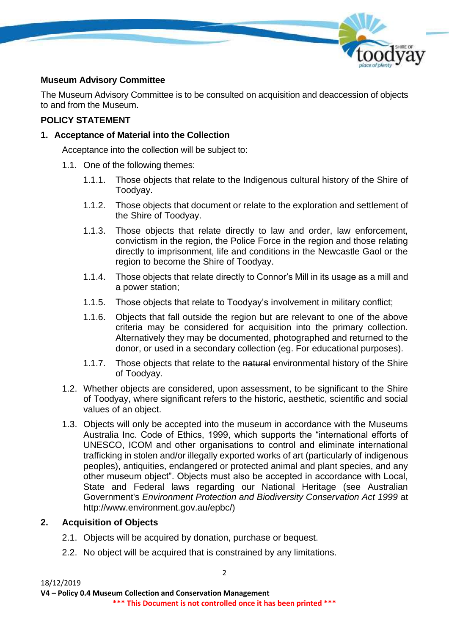

# **Museum Advisory Committee**

The Museum Advisory Committee is to be consulted on acquisition and deaccession of objects to and from the Museum.

# **POLICY STATEMENT**

# **1. Acceptance of Material into the Collection**

Acceptance into the collection will be subject to:

- 1.1. One of the following themes:
	- 1.1.1. Those objects that relate to the Indigenous cultural history of the Shire of Toodyay.
	- 1.1.2. Those objects that document or relate to the exploration and settlement of the Shire of Toodyay.
	- 1.1.3. Those objects that relate directly to law and order, law enforcement, convictism in the region, the Police Force in the region and those relating directly to imprisonment, life and conditions in the Newcastle Gaol or the region to become the Shire of Toodyay.
	- 1.1.4. Those objects that relate directly to Connor's Mill in its usage as a mill and a power station;
	- 1.1.5. Those objects that relate to Toodyay's involvement in military conflict;
	- 1.1.6. Objects that fall outside the region but are relevant to one of the above criteria may be considered for acquisition into the primary collection. Alternatively they may be documented, photographed and returned to the donor, or used in a secondary collection (eg. For educational purposes).
	- 1.1.7. Those objects that relate to the natural environmental history of the Shire of Toodyay.
- 1.2. Whether objects are considered, upon assessment, to be significant to the Shire of Toodyay, where significant refers to the historic, aesthetic, scientific and social values of an object.
- 1.3. Objects will only be accepted into the museum in accordance with the Museums Australia Inc. Code of Ethics, 1999, which supports the "international efforts of UNESCO, ICOM and other organisations to control and eliminate international trafficking in stolen and/or illegally exported works of art (particularly of indigenous peoples), antiquities, endangered or protected animal and plant species, and any other museum object". Objects must also be accepted in accordance with Local, State and Federal laws regarding our National Heritage (see Australian Government's *Environment Protection and Biodiversity Conservation Act 1999* at http://www.environment.gov.au/epbc/)

# **2. Acquisition of Objects**

- 2.1. Objects will be acquired by donation, purchase or bequest.
- 2.2. No object will be acquired that is constrained by any limitations.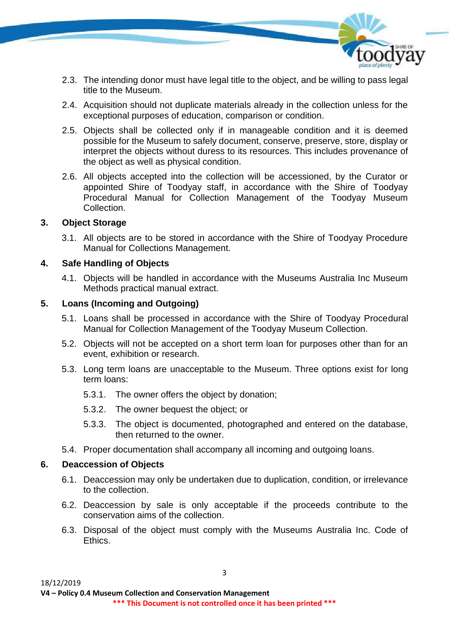

- 2.3. The intending donor must have legal title to the object, and be willing to pass legal title to the Museum.
- 2.4. Acquisition should not duplicate materials already in the collection unless for the exceptional purposes of education, comparison or condition.
- 2.5. Objects shall be collected only if in manageable condition and it is deemed possible for the Museum to safely document, conserve, preserve, store, display or interpret the objects without duress to its resources. This includes provenance of the object as well as physical condition.
- 2.6. All objects accepted into the collection will be accessioned, by the Curator or appointed Shire of Toodyay staff, in accordance with the Shire of Toodyay Procedural Manual for Collection Management of the Toodyay Museum **Collection**

## **3. Object Storage**

3.1. All objects are to be stored in accordance with the Shire of Toodyay Procedure Manual for Collections Management.

## **4. Safe Handling of Objects**

4.1. Objects will be handled in accordance with the Museums Australia Inc Museum Methods practical manual extract.

# **5. Loans (Incoming and Outgoing)**

- 5.1. Loans shall be processed in accordance with the Shire of Toodyay Procedural Manual for Collection Management of the Toodyay Museum Collection.
- 5.2. Objects will not be accepted on a short term loan for purposes other than for an event, exhibition or research.
- 5.3. Long term loans are unacceptable to the Museum. Three options exist for long term loans:
	- 5.3.1. The owner offers the object by donation;
	- 5.3.2. The owner bequest the object; or
	- 5.3.3. The object is documented, photographed and entered on the database, then returned to the owner.
- 5.4. Proper documentation shall accompany all incoming and outgoing loans.

#### **6. Deaccession of Objects**

- 6.1. Deaccession may only be undertaken due to duplication, condition, or irrelevance to the collection.
- 6.2. Deaccession by sale is only acceptable if the proceeds contribute to the conservation aims of the collection.
- 6.3. Disposal of the object must comply with the Museums Australia Inc. Code of Ethics.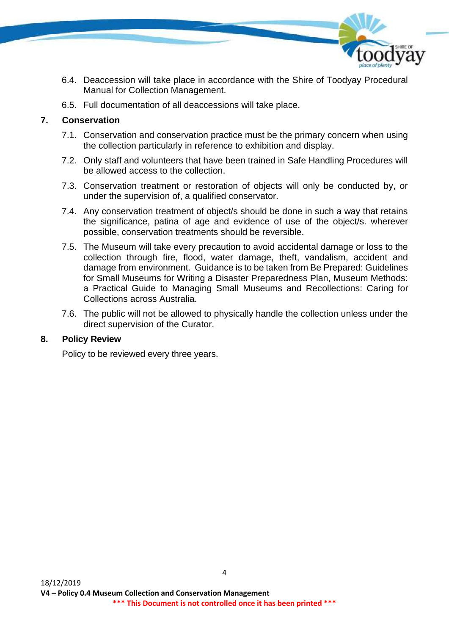

- 6.4. Deaccession will take place in accordance with the Shire of Toodyay Procedural Manual for Collection Management.
- 6.5. Full documentation of all deaccessions will take place.

## **7. Conservation**

- 7.1. Conservation and conservation practice must be the primary concern when using the collection particularly in reference to exhibition and display.
- 7.2. Only staff and volunteers that have been trained in Safe Handling Procedures will be allowed access to the collection.
- 7.3. Conservation treatment or restoration of objects will only be conducted by, or under the supervision of, a qualified conservator.
- 7.4. Any conservation treatment of object/s should be done in such a way that retains the significance, patina of age and evidence of use of the object/s. wherever possible, conservation treatments should be reversible.
- 7.5. The Museum will take every precaution to avoid accidental damage or loss to the collection through fire, flood, water damage, theft, vandalism, accident and damage from environment. Guidance is to be taken from Be Prepared: Guidelines for Small Museums for Writing a Disaster Preparedness Plan, Museum Methods: a Practical Guide to Managing Small Museums and Recollections: Caring for Collections across Australia.
- 7.6. The public will not be allowed to physically handle the collection unless under the direct supervision of the Curator.

#### **8. Policy Review**

Policy to be reviewed every three years.